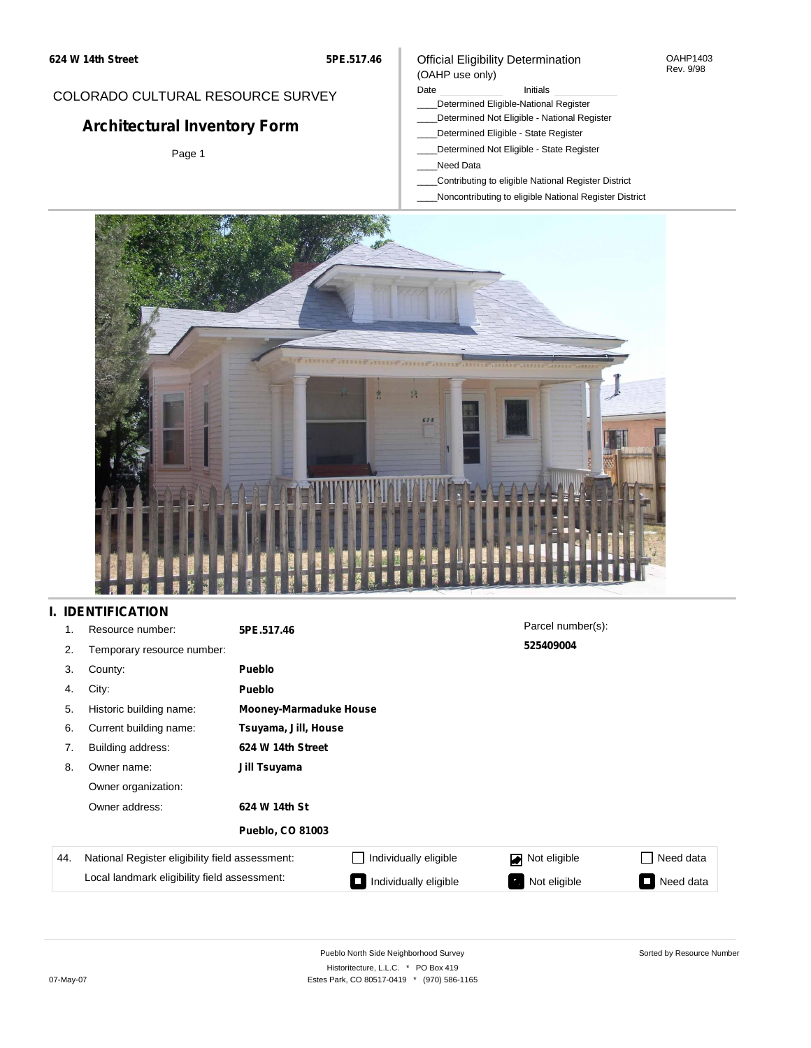#### OAHP1403 Rev. 9/98

### COLORADO CULTURAL RESOURCE SURVEY

# **Architectural Inventory Form**

Page 1

#### (OAHP use only) Date **Initials** Initials

Official Eligibility Determination

- \_\_\_\_Determined Eligible-National Register
- \_\_\_\_Determined Not Eligible National Register
- \_\_\_\_Determined Eligible State Register
- \_\_\_\_Determined Not Eligible State Register
- \_\_\_\_Need Data
- \_\_\_\_Contributing to eligible National Register District
- \_\_\_\_Noncontributing to eligible National Register District



## **I. IDENTIFICATION**

| 1.  | Resource number:                                | 5PE.517.46                    |                       | Parcel number(s): |                 |
|-----|-------------------------------------------------|-------------------------------|-----------------------|-------------------|-----------------|
| 2.  | Temporary resource number:                      |                               |                       | 525409004         |                 |
| 3.  | County:                                         | <b>Pueblo</b>                 |                       |                   |                 |
| 4.  | City:                                           | Pueblo                        |                       |                   |                 |
| 5.  | Historic building name:                         | <b>Mooney-Marmaduke House</b> |                       |                   |                 |
| 6.  | Current building name:                          | Tsuyama, Jill, House          |                       |                   |                 |
| 7.  | Building address:                               | 624 W 14th Street             |                       |                   |                 |
| 8.  | Owner name:                                     | Jill Tsuyama                  |                       |                   |                 |
|     | Owner organization:                             |                               |                       |                   |                 |
|     | Owner address:                                  | 624 W 14th St                 |                       |                   |                 |
|     |                                                 | <b>Pueblo, CO 81003</b>       |                       |                   |                 |
| 44. | National Register eligibility field assessment: |                               | Individually eligible | Not eligible      | Need data       |
|     | Local landmark eligibility field assessment:    |                               | Individually eligible | Not eligible      | Need data<br>P. |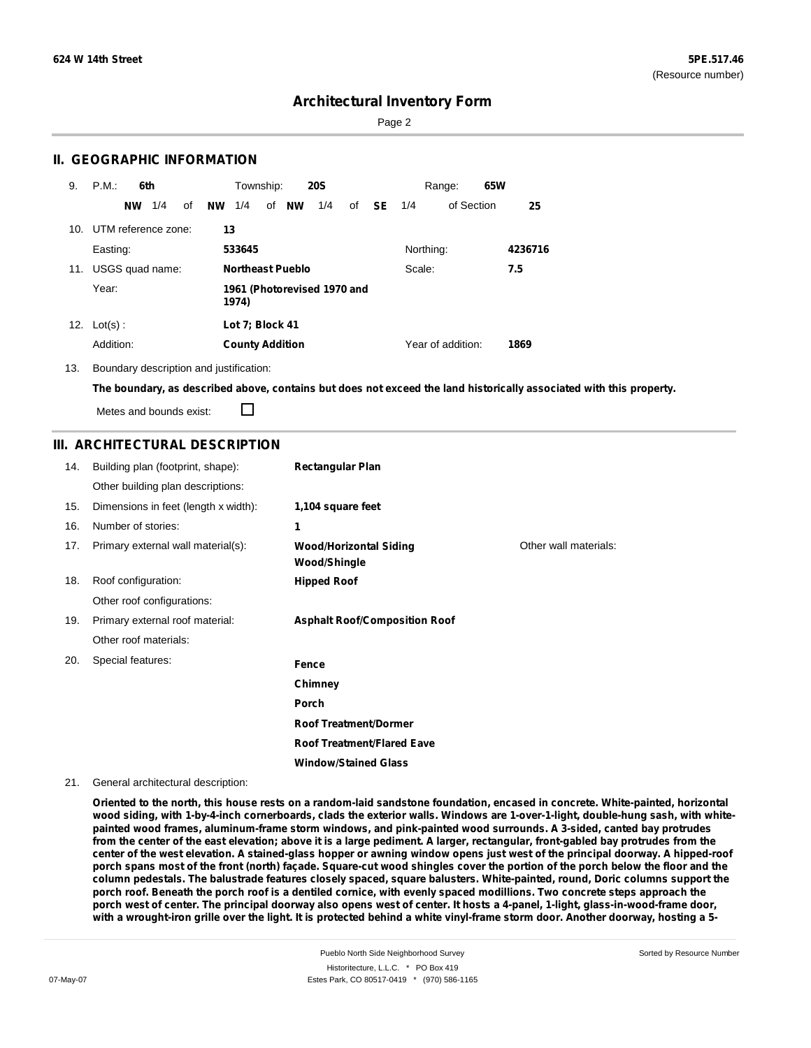Sorted by Resource Number

### **Architectural Inventory Form**

Page 2

### **II. GEOGRAPHIC INFORMATION**

| 9.  | P.M.<br>6th         |     |    |           | Township:              |                         | <b>20S</b>                  |    |    |           | Range:            | 65W |         |
|-----|---------------------|-----|----|-----------|------------------------|-------------------------|-----------------------------|----|----|-----------|-------------------|-----|---------|
|     | <b>NW</b>           | 1/4 | οf | <b>NW</b> | 1/4                    | of NW                   | 1/4                         | of | SE | 1/4       | of Section        |     | 25      |
| 10. | UTM reference zone: |     |    | 13        |                        |                         |                             |    |    |           |                   |     |         |
|     | Easting:            |     |    |           | 533645                 |                         |                             |    |    | Northing: |                   |     | 4236716 |
| 11. | USGS quad name:     |     |    |           |                        | <b>Northeast Pueblo</b> |                             |    |    | Scale:    |                   |     | 7.5     |
|     | Year:               |     |    |           | 1974)                  |                         | 1961 (Photorevised 1970 and |    |    |           |                   |     |         |
| 12. | $Lot(s)$ :          |     |    |           | Lot 7; Block 41        |                         |                             |    |    |           |                   |     |         |
|     | Addition:           |     |    |           | <b>County Addition</b> |                         |                             |    |    |           | Year of addition: |     | 1869    |

13. Boundary description and justification:

The boundary, as described above, contains but does not exceed the land historically associated with this property.

Metes and bounds exist:

П

### **III. ARCHITECTURAL DESCRIPTION**

| 14. | Building plan (footprint, shape):    | <b>Rectangular Plan</b>                              |                       |
|-----|--------------------------------------|------------------------------------------------------|-----------------------|
|     | Other building plan descriptions:    |                                                      |                       |
| 15. | Dimensions in feet (length x width): | 1,104 square feet                                    |                       |
| 16. | Number of stories:                   | 1                                                    |                       |
| 17. | Primary external wall material(s):   | <b>Wood/Horizontal Siding</b><br><b>Wood/Shingle</b> | Other wall materials: |
| 18. | Roof configuration:                  | <b>Hipped Roof</b>                                   |                       |
|     | Other roof configurations:           |                                                      |                       |
| 19. | Primary external roof material:      | <b>Asphalt Roof/Composition Roof</b>                 |                       |
|     | Other roof materials:                |                                                      |                       |
| 20. | Special features:                    | Fence                                                |                       |
|     |                                      | Chimney                                              |                       |
|     |                                      | <b>Porch</b>                                         |                       |
|     |                                      | <b>Roof Treatment/Dormer</b>                         |                       |
|     |                                      | <b>Roof Treatment/Flared Eave</b>                    |                       |
|     |                                      | <b>Window/Stained Glass</b>                          |                       |

#### 21. General architectural description:

Oriented to the north, this house rests on a random-laid sandstone foundation, encased in concrete. White-painted, horizontal wood siding, with 1-by-4-inch cornerboards, clads the exterior walls. Windows are 1-over-1-light, double-hung sash, with white**painted wood frames, aluminum-frame storm windows, and pink-painted wood surrounds. A 3-sided, canted bay protrudes** from the center of the east elevation; above it is a large pediment. A larger, rectangular, front-gabled bay protrudes from the center of the west elevation. A stained-glass hopper or awning window opens just west of the principal doorway. A hipped-roof porch spans most of the front (north) façade. Square-cut wood shingles cover the portion of the porch below the floor and the column pedestals. The balustrade features closely spaced, square balusters. White-painted, round, Doric columns support the porch roof. Beneath the porch roof is a dentiled cornice, with evenly spaced modillions. Two concrete steps approach the porch west of center. The principal doorway also opens west of center. It hosts a 4-panel, 1-light, glass-in-wood-frame door, with a wrought-iron grille over the light. It is protected behind a white vinyl-frame storm door. Another doorway, hosting a 5-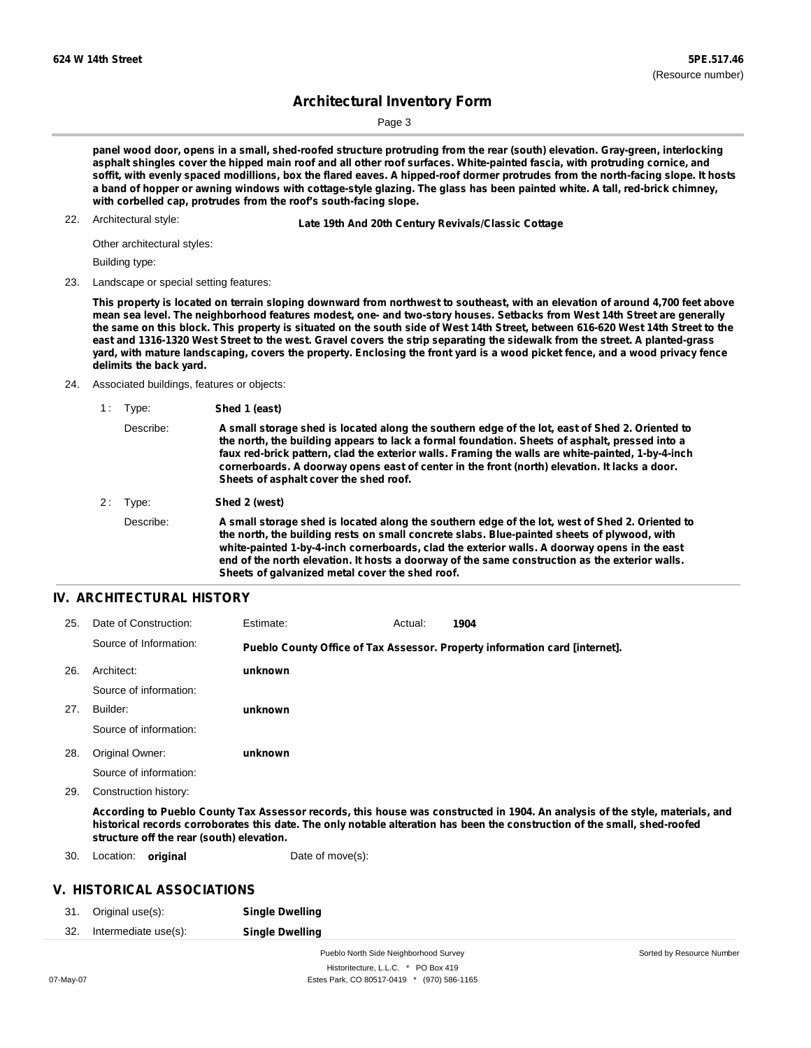Sorted by Resource Number

## **Architectural Inventory Form**

Page 3

panel wood door, opens in a small, shed-roofed structure protruding from the rear (south) elevation. Gray-green, interlocking asphalt shingles cover the hipped main roof and all other roof surfaces. White-painted fascia, with protruding cornice, and soffit, with evenly spaced modillions, box the flared eaves. A hipped-roof dormer protrudes from the north-facing slope. It hosts a band of hopper or awning windows with cottage-style glazing. The glass has been painted white. A tall, red-brick chimney, **with corbelled cap, protrudes from the roof's south-facing slope.**

22. Architectural style:

22. **Late 19th And 20th Century Revivals/Classic Cottage**

Other architectural styles:

Building type:

23. Landscape or special setting features:

This property is located on terrain sloping downward from northwest to southeast, with an elevation of around 4,700 feet above mean sea level. The neighborhood features modest, one- and two-story houses. Setbacks from West 14th Street are generally the same on this block. This property is situated on the south side of West 14th Street, between 616-620 West 14th Street to the east and 1316-1320 West Street to the west. Gravel covers the strip separating the sidewalk from the street. A planted-grass yard, with mature landscaping, covers the property. Enclosing the front yard is a wood picket fence, and a wood privacy fence **delimits the back yard.**

- 24. Associated buildings, features or objects:
	- 1 : Type: **Shed 1 (east)**

|    | Describe: | A small storage shed is located along the southern edge of the lot, east of Shed 2. Oriented to<br>the north, the building appears to lack a formal foundation. Sheets of asphalt, pressed into a<br>faux red-brick pattern, clad the exterior walls. Framing the walls are white-painted, 1-by-4-inch<br>cornerboards. A doorway opens east of center in the front (north) elevation. It lacks a door.<br>Sheets of asphalt cover the shed roof.   |
|----|-----------|-----------------------------------------------------------------------------------------------------------------------------------------------------------------------------------------------------------------------------------------------------------------------------------------------------------------------------------------------------------------------------------------------------------------------------------------------------|
| 2: | Type:     | Shed 2 (west)                                                                                                                                                                                                                                                                                                                                                                                                                                       |
|    | Describe: | A small storage shed is located along the southern edge of the lot, west of Shed 2. Oriented to<br>the north, the building rests on small concrete slabs. Blue-painted sheets of plywood, with<br>white-painted 1-by-4-inch cornerboards, clad the exterior walls. A doorway opens in the east<br>end of the north elevation. It hosts a doorway of the same construction as the exterior walls.<br>Sheets of galvanized metal cover the shed roof. |

#### **IV. ARCHITECTURAL HISTORY**

| 25. | Date of Construction:  | Estimate: | Actual: | 1904                                                                                                                                                                                                                                                        |
|-----|------------------------|-----------|---------|-------------------------------------------------------------------------------------------------------------------------------------------------------------------------------------------------------------------------------------------------------------|
|     | Source of Information: |           |         | Pueblo County Office of Tax Assessor. Property information card [internet].                                                                                                                                                                                 |
| 26. | Architect:             | unknown   |         |                                                                                                                                                                                                                                                             |
|     | Source of information: |           |         |                                                                                                                                                                                                                                                             |
| 27. | Builder:               | unknown   |         |                                                                                                                                                                                                                                                             |
|     | Source of information: |           |         |                                                                                                                                                                                                                                                             |
| 28. | Original Owner:        | unknown   |         |                                                                                                                                                                                                                                                             |
|     | Source of information: |           |         |                                                                                                                                                                                                                                                             |
| 29. | Construction history:  |           |         |                                                                                                                                                                                                                                                             |
|     |                        |           |         | According to Pueblo County Tax Assessor records, this house was constructed in 1904. An analysis of the style, materials, and<br>historical records corroborates this date. The only notable alteration has been the construction of the small, shed-roofed |

**structure off the rear (south) elevation.**

30. Location: **original** Date of move(s):

### **V. HISTORICAL ASSOCIATIONS**

| 31.  | Original use(s):     | <b>Single Dwelling</b> |
|------|----------------------|------------------------|
| -32. | Intermediate use(s): | <b>Single Dwelling</b> |

Pueblo North Side Neighborhood Survey Historitecture, L.L.C. \* PO Box 419 07-May-07 **Estes Park, CO 80517-0419** \* (970) 586-1165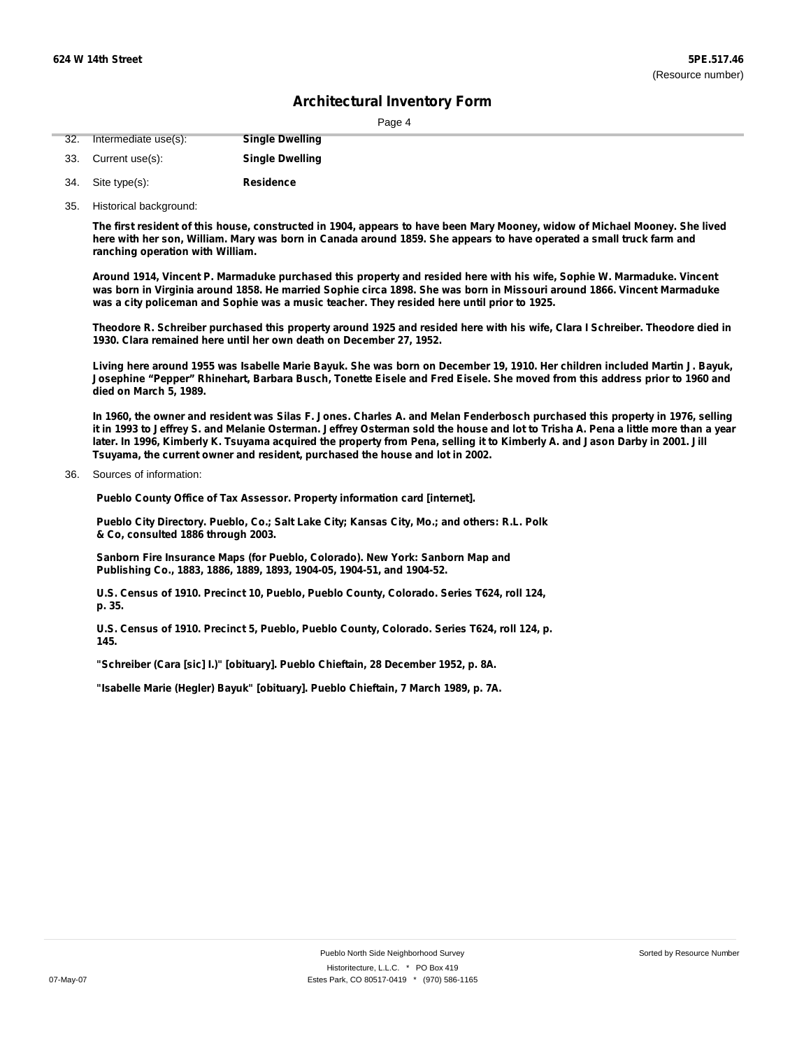| ٠ |  |
|---|--|
|   |  |

| $-32.$ | Intermediate use(s): | .490<br><b>Single Dwelling</b> |
|--------|----------------------|--------------------------------|
|        | 33. Current use(s):  | <b>Single Dwelling</b>         |
|        | 34. Site type(s):    | Residence                      |

35. Historical background:

The first resident of this house, constructed in 1904, appears to have been Mary Mooney, widow of Michael Mooney. She lived here with her son, William. Mary was born in Canada around 1859. She appears to have operated a small truck farm and **ranching operation with William.**

Around 1914, Vincent P. Marmaduke purchased this property and resided here with his wife, Sophie W. Marmaduke. Vincent was born in Virginia around 1858. He married Sophie circa 1898. She was born in Missouri around 1866. Vincent Marmaduke **was a city policeman and Sophie was a music teacher. They resided here until prior to 1925.**

Theodore R. Schreiber purchased this property around 1925 and resided here with his wife, Clara I Schreiber. Theodore died in **1930. Clara remained here until her own death on December 27, 1952.**

Living here around 1955 was Isabelle Marie Bayuk. She was born on December 19, 1910. Her children included Martin J. Bayuk, Josephine "Pepper" Rhinehart, Barbara Busch, Tonette Eisele and Fred Eisele. She moved from this address prior to 1960 and **died on March 5, 1989.**

In 1960, the owner and resident was Silas F. Jones. Charles A. and Melan Fenderbosch purchased this property in 1976, selling it in 1993 to Jeffrey S. and Melanie Osterman. Jeffrey Osterman sold the house and lot to Trisha A. Pena a little more than a year later. In 1996, Kimberly K. Tsuyama acquired the property from Pena, selling it to Kimberly A. and Jason Darby in 2001. Jill **Tsuyama, the current owner and resident, purchased the house and lot in 2002.**

Sources of information: 36.

**Pueblo County Office of Tax Assessor. Property information card [internet].**

**Pueblo City Directory. Pueblo, Co.; Salt Lake City; Kansas City, Mo.; and others: R.L. Polk & Co, consulted 1886 through 2003.**

**Sanborn Fire Insurance Maps (for Pueblo, Colorado). New York: Sanborn Map and Publishing Co., 1883, 1886, 1889, 1893, 1904-05, 1904-51, and 1904-52.**

**U.S. Census of 1910. Precinct 10, Pueblo, Pueblo County, Colorado. Series T624, roll 124, p. 35.**

**U.S. Census of 1910. Precinct 5, Pueblo, Pueblo County, Colorado. Series T624, roll 124, p. 145.**

**"Schreiber (Cara [sic] I.)" [obituary]. Pueblo Chieftain, 28 December 1952, p. 8A.**

**"Isabelle Marie (Hegler) Bayuk" [obituary]. Pueblo Chieftain, 7 March 1989, p. 7A.**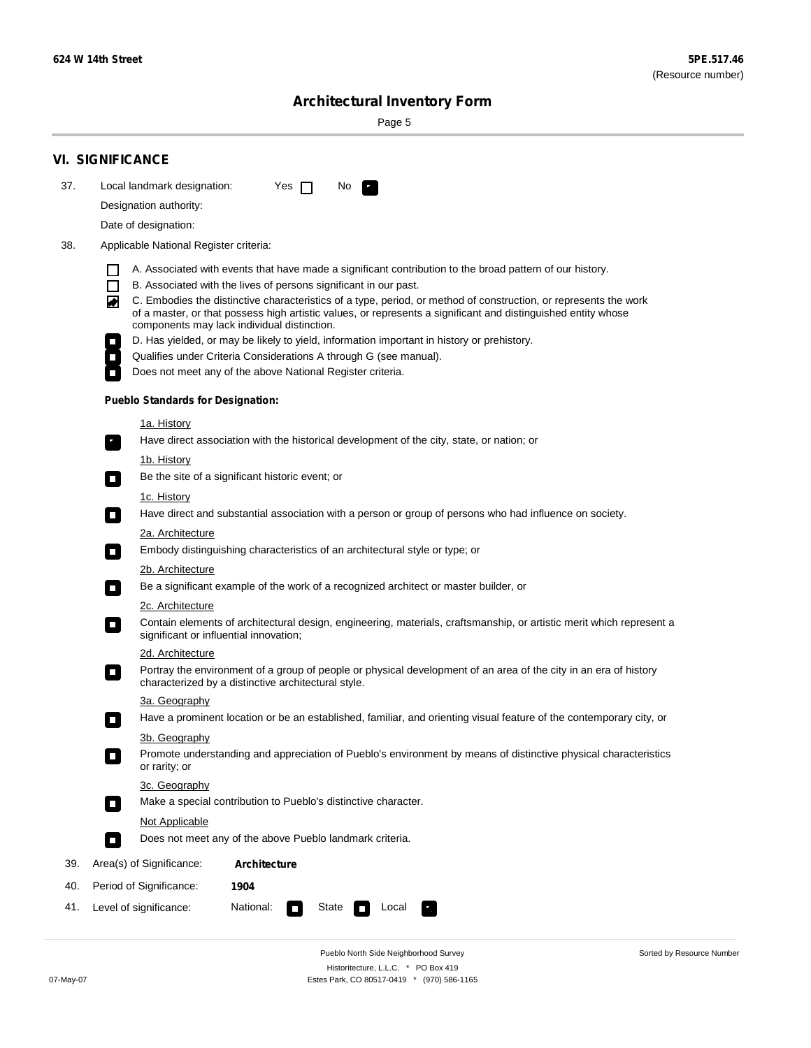Sorted by Resource Number

# **Architectural Inventory Form**

Page 5

|     | <b>VI. SIGNIFICANCE</b>                                                                                                                                                                                                                                                               |  |  |  |  |  |
|-----|---------------------------------------------------------------------------------------------------------------------------------------------------------------------------------------------------------------------------------------------------------------------------------------|--|--|--|--|--|
| 37. | Local landmark designation:<br>Yes $\Box$<br>No.                                                                                                                                                                                                                                      |  |  |  |  |  |
|     | Designation authority:                                                                                                                                                                                                                                                                |  |  |  |  |  |
|     | Date of designation:                                                                                                                                                                                                                                                                  |  |  |  |  |  |
| 38. | Applicable National Register criteria:                                                                                                                                                                                                                                                |  |  |  |  |  |
|     | A. Associated with events that have made a significant contribution to the broad pattern of our history.                                                                                                                                                                              |  |  |  |  |  |
|     | B. Associated with the lives of persons significant in our past.                                                                                                                                                                                                                      |  |  |  |  |  |
|     | C. Embodies the distinctive characteristics of a type, period, or method of construction, or represents the work<br>◙<br>of a master, or that possess high artistic values, or represents a significant and distinguished entity whose<br>components may lack individual distinction. |  |  |  |  |  |
|     | D. Has yielded, or may be likely to yield, information important in history or prehistory.                                                                                                                                                                                            |  |  |  |  |  |
|     | Qualifies under Criteria Considerations A through G (see manual).                                                                                                                                                                                                                     |  |  |  |  |  |
|     | Does not meet any of the above National Register criteria.                                                                                                                                                                                                                            |  |  |  |  |  |
|     | <b>Pueblo Standards for Designation:</b>                                                                                                                                                                                                                                              |  |  |  |  |  |
|     | <u>1a. History</u>                                                                                                                                                                                                                                                                    |  |  |  |  |  |
|     | Have direct association with the historical development of the city, state, or nation; or<br>$\overline{\phantom{a}}$ .                                                                                                                                                               |  |  |  |  |  |
|     | <u>1b. History</u>                                                                                                                                                                                                                                                                    |  |  |  |  |  |
|     | Be the site of a significant historic event; or<br>$\Box$                                                                                                                                                                                                                             |  |  |  |  |  |
|     | 1c. History<br>Have direct and substantial association with a person or group of persons who had influence on society.<br>$\sim$                                                                                                                                                      |  |  |  |  |  |
|     | 2a. Architecture                                                                                                                                                                                                                                                                      |  |  |  |  |  |
|     | Embody distinguishing characteristics of an architectural style or type; or<br>$\overline{\phantom{a}}$                                                                                                                                                                               |  |  |  |  |  |
|     | 2b. Architecture                                                                                                                                                                                                                                                                      |  |  |  |  |  |
|     | Be a significant example of the work of a recognized architect or master builder, or<br>$\overline{\phantom{a}}$                                                                                                                                                                      |  |  |  |  |  |
|     | 2c. Architecture                                                                                                                                                                                                                                                                      |  |  |  |  |  |
|     | Contain elements of architectural design, engineering, materials, craftsmanship, or artistic merit which represent a<br>$\mathcal{L}_{\mathcal{A}}$<br>significant or influential innovation;                                                                                         |  |  |  |  |  |
|     | 2d. Architecture                                                                                                                                                                                                                                                                      |  |  |  |  |  |
|     | Portray the environment of a group of people or physical development of an area of the city in an era of history<br>$\mathcal{L}_{\mathcal{A}}$<br>characterized by a distinctive architectural style.                                                                                |  |  |  |  |  |
|     | 3a. Geography                                                                                                                                                                                                                                                                         |  |  |  |  |  |
|     | Have a prominent location or be an established, familiar, and orienting visual feature of the contemporary city, or<br>П                                                                                                                                                              |  |  |  |  |  |
|     | 3b. Geography                                                                                                                                                                                                                                                                         |  |  |  |  |  |
|     | Promote understanding and appreciation of Pueblo's environment by means of distinctive physical characteristics<br>or rarity; or                                                                                                                                                      |  |  |  |  |  |
|     | 3c. Geography                                                                                                                                                                                                                                                                         |  |  |  |  |  |
|     | Make a special contribution to Pueblo's distinctive character.<br>О                                                                                                                                                                                                                   |  |  |  |  |  |
|     | Not Applicable                                                                                                                                                                                                                                                                        |  |  |  |  |  |
|     | Does not meet any of the above Pueblo landmark criteria.<br>$\overline{\phantom{a}}$                                                                                                                                                                                                  |  |  |  |  |  |
| 39. | Area(s) of Significance:<br><b>Architecture</b>                                                                                                                                                                                                                                       |  |  |  |  |  |
| 40. | Period of Significance:<br>1904                                                                                                                                                                                                                                                       |  |  |  |  |  |
| 41. | National:<br>Level of significance:<br>State<br>Local<br>$\overline{\phantom{a}}$                                                                                                                                                                                                     |  |  |  |  |  |

Pueblo North Side Neighborhood Survey Historitecture, L.L.C. \* PO Box 419 07-May-07 Estes Park, CO 80517-0419 \* (970) 586-1165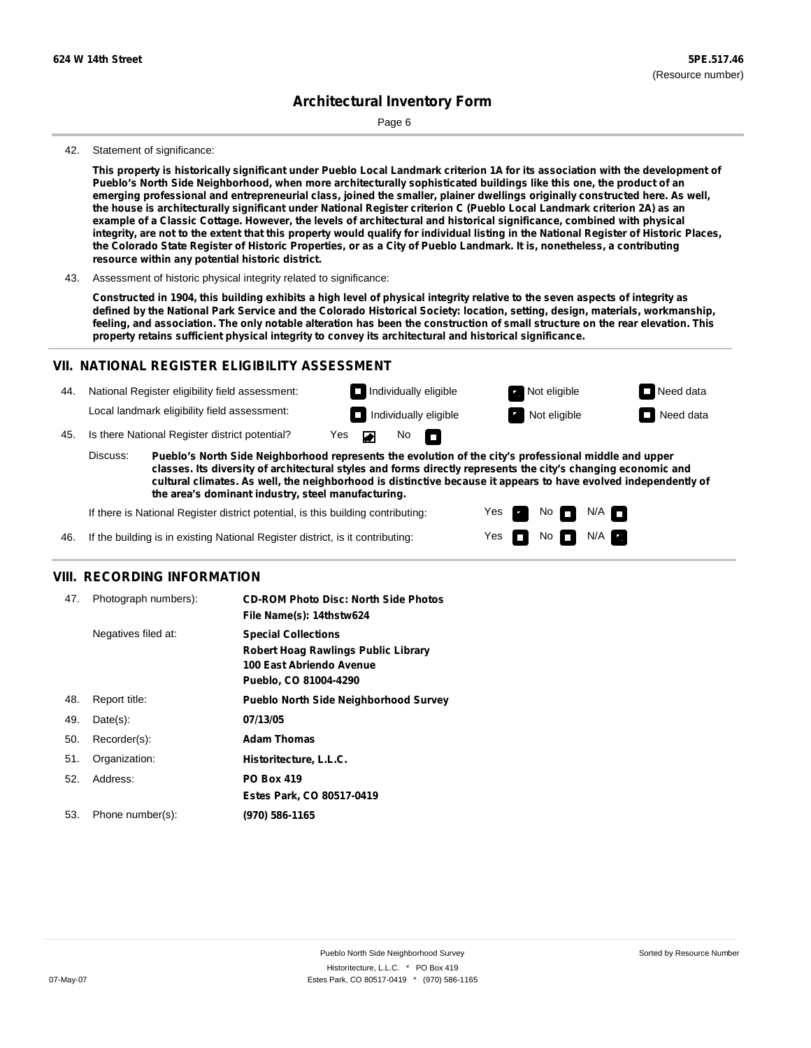Page 6

#### 42. Statement of significance:

This property is historically significant under Pueblo Local Landmark criterion 1A for its association with the development of Pueblo's North Side Neighborhood, when more architecturally sophisticated buildings like this one, the product of an emerging professional and entrepreneurial class, joined the smaller, plainer dwellings originally constructed here. As well, the house is architecturally significant under National Register criterion C (Pueblo Local Landmark criterion 2A) as an example of a Classic Cottage. However, the levels of architectural and historical significance, combined with physical integrity, are not to the extent that this property would qualify for individual listing in the National Register of Historic Places, the Colorado State Register of Historic Properties, or as a City of Pueblo Landmark. It is, nonetheless, a contributing **resource within any potential historic district.**

43. Assessment of historic physical integrity related to significance:

Constructed in 1904, this building exhibits a high level of physical integrity relative to the seven aspects of integrity as defined by the National Park Service and the Colorado Historical Society: location, setting, design, materials, workmanship, feeling, and association. The only notable alteration has been the construction of small structure on the rear elevation. This **property retains sufficient physical integrity to convey its architectural and historical significance.**

#### **VII. NATIONAL REGISTER ELIGIBILITY ASSESSMENT**

National Register eligibility field assessment: 44. Local landmark eligibility field assessment:

**Individually eligible Not eligible Not eligible Need data** 

No<sub>D</sub>

**Individually eligible Not eligible** Not eligible **Need data** 

45. Is there National Register district potential? Yes

**Pueblo's North Side Neighborhood represents the evolution of the city's professional middle and upper classes. Its diversity of architectural styles and forms directly represents the city's changing economic and cultural climates. As well, the neighborhood is distinctive because it appears to have evolved independently of the area's dominant industry, steel manufacturing.** Discuss:

 $\blacksquare$ 

Yes Yes No

 $No$  N/A

 $N/A$   $\Box$ 

If there is National Register district potential, is this building contributing:



### **VIII. RECORDING INFORMATION**

| 47. | Photograph numbers): | <b>CD-ROM Photo Disc: North Side Photos</b><br>File Name(s): 14thstw624                                                       |
|-----|----------------------|-------------------------------------------------------------------------------------------------------------------------------|
|     | Negatives filed at:  | <b>Special Collections</b><br><b>Robert Hoag Rawlings Public Library</b><br>100 East Abriendo Avenue<br>Pueblo, CO 81004-4290 |
| 48. | Report title:        | <b>Pueblo North Side Neighborhood Survey</b>                                                                                  |
| 49. | $Date(s)$ :          | 07/13/05                                                                                                                      |
| 50. | Recorder(s):         | <b>Adam Thomas</b>                                                                                                            |
| 51. | Organization:        | Historitecture, L.L.C.                                                                                                        |
| 52. | Address:             | <b>PO Box 419</b>                                                                                                             |
|     |                      | Estes Park, CO 80517-0419                                                                                                     |
| 53. | Phone number(s):     | (970) 586-1165                                                                                                                |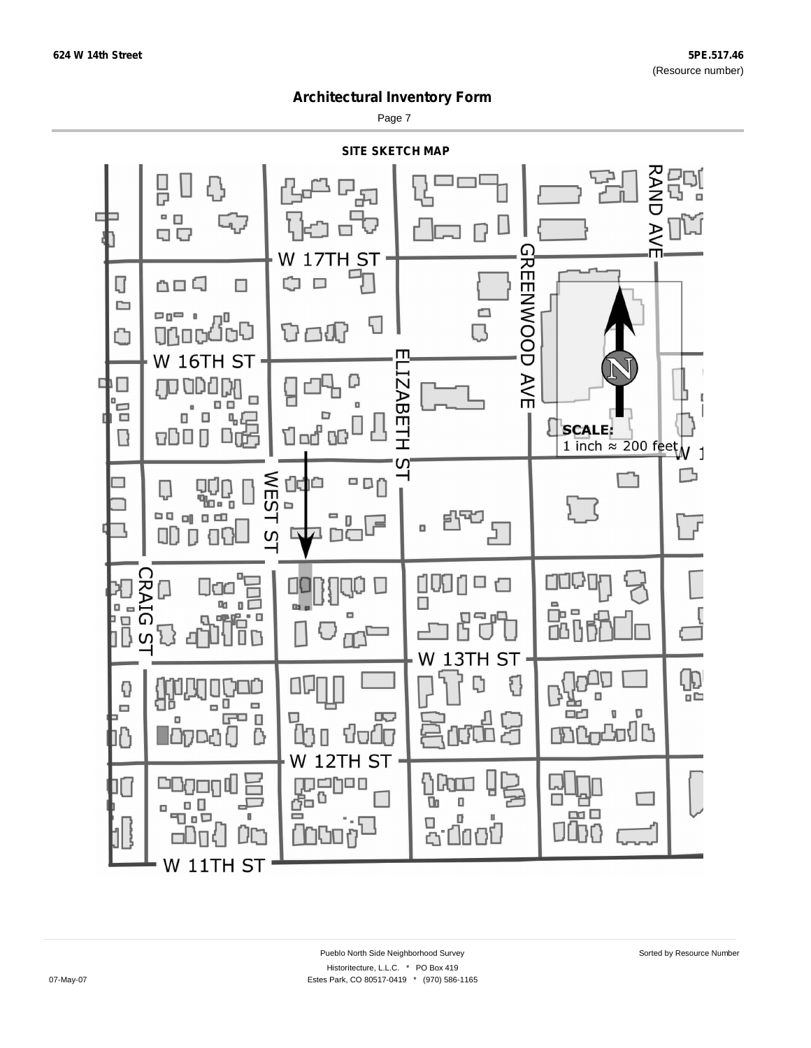Page 7